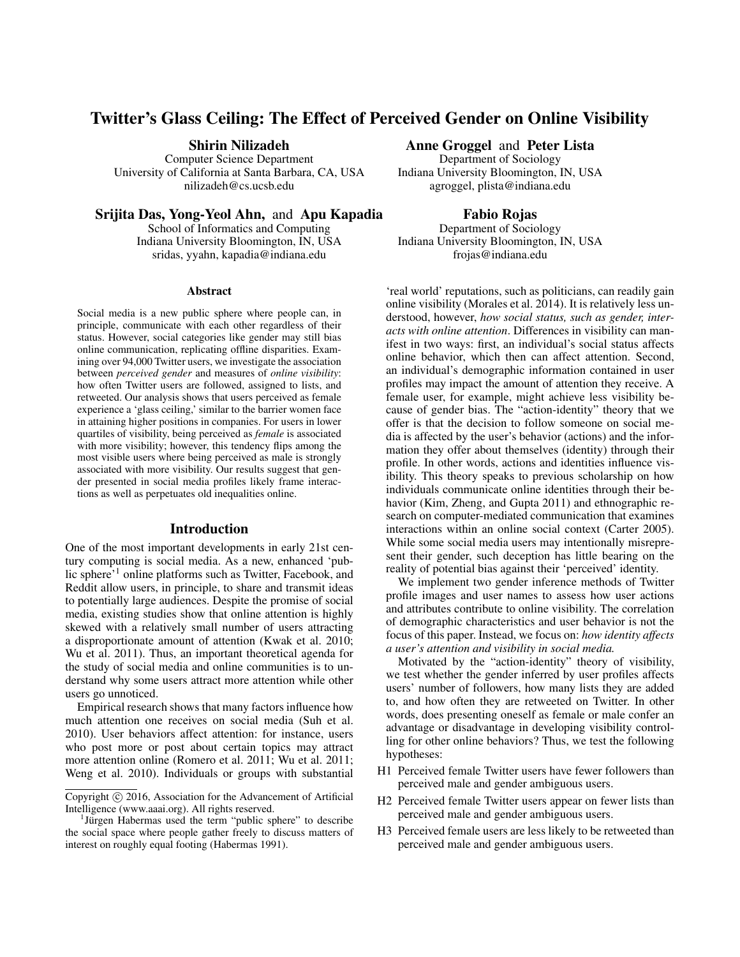# Twitter's Glass Ceiling: The Effect of Perceived Gender on Online Visibility

Shirin Nilizadeh

Computer Science Department University of California at Santa Barbara, CA, USA nilizadeh@cs.ucsb.edu

Anne Groggel and Peter Lista Department of Sociology

Indiana University Bloomington, IN, USA agroggel, plista@indiana.edu

Srijita Das, Yong-Yeol Ahn, and Apu Kapadia

School of Informatics and Computing Indiana University Bloomington, IN, USA sridas, yyahn, kapadia@indiana.edu

#### **Abstract**

Social media is a new public sphere where people can, in principle, communicate with each other regardless of their status. However, social categories like gender may still bias online communication, replicating offline disparities. Examining over 94,000 Twitter users, we investigate the association between *perceived gender* and measures of *online visibility*: how often Twitter users are followed, assigned to lists, and retweeted. Our analysis shows that users perceived as female experience a 'glass ceiling,' similar to the barrier women face in attaining higher positions in companies. For users in lower quartiles of visibility, being perceived as *female* is associated with more visibility; however, this tendency flips among the most visible users where being perceived as male is strongly associated with more visibility. Our results suggest that gender presented in social media profiles likely frame interactions as well as perpetuates old inequalities online.

#### Introduction

One of the most important developments in early 21st century computing is social media. As a new, enhanced 'public sphere'<sup>1</sup> online platforms such as Twitter, Facebook, and Reddit allow users, in principle, to share and transmit ideas to potentially large audiences. Despite the promise of social media, existing studies show that online attention is highly skewed with a relatively small number of users attracting a disproportionate amount of attention (Kwak et al. 2010; Wu et al. 2011). Thus, an important theoretical agenda for the study of social media and online communities is to understand why some users attract more attention while other users go unnoticed.

Empirical research shows that many factors influence how much attention one receives on social media (Suh et al. 2010). User behaviors affect attention: for instance, users who post more or post about certain topics may attract more attention online (Romero et al. 2011; Wu et al. 2011; Weng et al. 2010). Individuals or groups with substantial

Fabio Rojas

Department of Sociology Indiana University Bloomington, IN, USA frojas@indiana.edu

'real world' reputations, such as politicians, can readily gain online visibility (Morales et al. 2014). It is relatively less understood, however, *how social status, such as gender, interacts with online attention*. Differences in visibility can manifest in two ways: first, an individual's social status affects online behavior, which then can affect attention. Second, an individual's demographic information contained in user profiles may impact the amount of attention they receive. A female user, for example, might achieve less visibility because of gender bias. The "action-identity" theory that we offer is that the decision to follow someone on social media is affected by the user's behavior (actions) and the information they offer about themselves (identity) through their profile. In other words, actions and identities influence visibility. This theory speaks to previous scholarship on how individuals communicate online identities through their behavior (Kim, Zheng, and Gupta 2011) and ethnographic research on computer-mediated communication that examines interactions within an online social context (Carter 2005). While some social media users may intentionally misrepresent their gender, such deception has little bearing on the reality of potential bias against their 'perceived' identity.

We implement two gender inference methods of Twitter profile images and user names to assess how user actions and attributes contribute to online visibility. The correlation of demographic characteristics and user behavior is not the focus of this paper. Instead, we focus on: *how identity affects a user's attention and visibility in social media.*

Motivated by the "action-identity" theory of visibility, we test whether the gender inferred by user profiles affects users' number of followers, how many lists they are added to, and how often they are retweeted on Twitter. In other words, does presenting oneself as female or male confer an advantage or disadvantage in developing visibility controlling for other online behaviors? Thus, we test the following hypotheses:

- H1 Perceived female Twitter users have fewer followers than perceived male and gender ambiguous users.
- H2 Perceived female Twitter users appear on fewer lists than perceived male and gender ambiguous users.
- H3 Perceived female users are less likely to be retweeted than perceived male and gender ambiguous users.

Copyright © 2016, Association for the Advancement of Artificial Intelligence (www.aaai.org). All rights reserved.

<sup>&</sup>lt;sup>1</sup>Jürgen Habermas used the term "public sphere" to describe the social space where people gather freely to discuss matters of interest on roughly equal footing (Habermas 1991).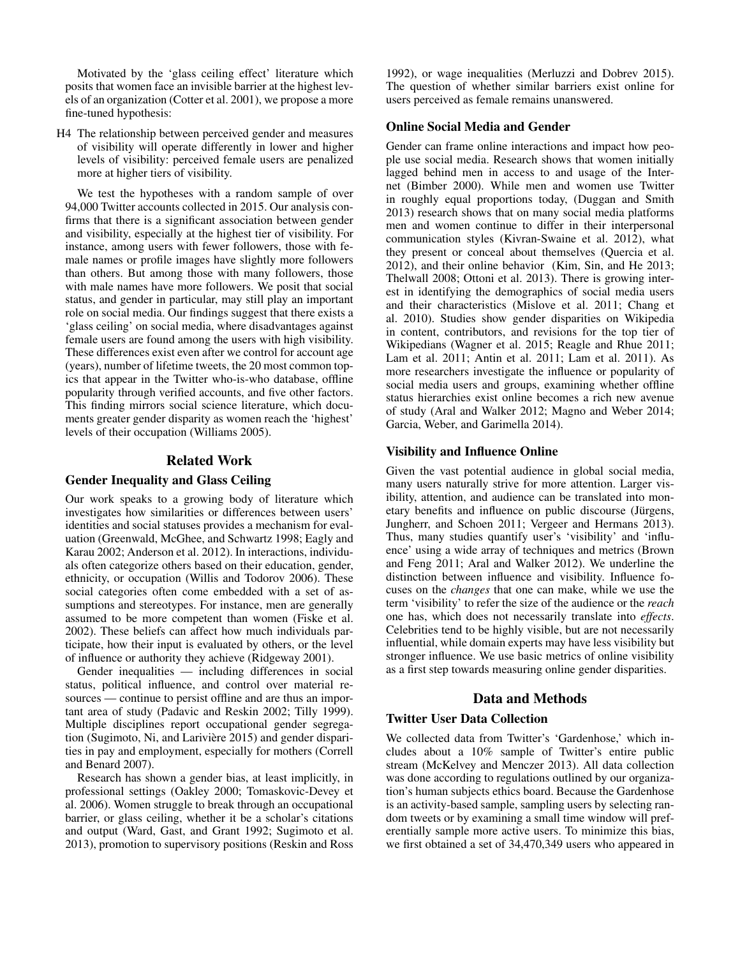Motivated by the 'glass ceiling effect' literature which posits that women face an invisible barrier at the highest levels of an organization (Cotter et al. 2001), we propose a more fine-tuned hypothesis:

H4 The relationship between perceived gender and measures of visibility will operate differently in lower and higher levels of visibility: perceived female users are penalized more at higher tiers of visibility.

We test the hypotheses with a random sample of over 94,000 Twitter accounts collected in 2015. Our analysis confirms that there is a significant association between gender and visibility, especially at the highest tier of visibility. For instance, among users with fewer followers, those with female names or profile images have slightly more followers than others. But among those with many followers, those with male names have more followers. We posit that social status, and gender in particular, may still play an important role on social media. Our findings suggest that there exists a 'glass ceiling' on social media, where disadvantages against female users are found among the users with high visibility. These differences exist even after we control for account age (years), number of lifetime tweets, the 20 most common topics that appear in the Twitter who-is-who database, offline popularity through verified accounts, and five other factors. This finding mirrors social science literature, which documents greater gender disparity as women reach the 'highest' levels of their occupation (Williams 2005).

# Related Work

#### Gender Inequality and Glass Ceiling

Our work speaks to a growing body of literature which investigates how similarities or differences between users' identities and social statuses provides a mechanism for evaluation (Greenwald, McGhee, and Schwartz 1998; Eagly and Karau 2002; Anderson et al. 2012). In interactions, individuals often categorize others based on their education, gender, ethnicity, or occupation (Willis and Todorov 2006). These social categories often come embedded with a set of assumptions and stereotypes. For instance, men are generally assumed to be more competent than women (Fiske et al. 2002). These beliefs can affect how much individuals participate, how their input is evaluated by others, or the level of influence or authority they achieve (Ridgeway 2001).

Gender inequalities — including differences in social status, political influence, and control over material resources — continue to persist offline and are thus an important area of study (Padavic and Reskin 2002; Tilly 1999). Multiple disciplines report occupational gender segregation (Sugimoto, Ni, and Larivière 2015) and gender disparities in pay and employment, especially for mothers (Correll and Benard 2007).

Research has shown a gender bias, at least implicitly, in professional settings (Oakley 2000; Tomaskovic-Devey et al. 2006). Women struggle to break through an occupational barrier, or glass ceiling, whether it be a scholar's citations and output (Ward, Gast, and Grant 1992; Sugimoto et al. 2013), promotion to supervisory positions (Reskin and Ross

1992), or wage inequalities (Merluzzi and Dobrev 2015). The question of whether similar barriers exist online for users perceived as female remains unanswered.

## Online Social Media and Gender

Gender can frame online interactions and impact how people use social media. Research shows that women initially lagged behind men in access to and usage of the Internet (Bimber 2000). While men and women use Twitter in roughly equal proportions today, (Duggan and Smith 2013) research shows that on many social media platforms men and women continue to differ in their interpersonal communication styles (Kivran-Swaine et al. 2012), what they present or conceal about themselves (Quercia et al. 2012), and their online behavior (Kim, Sin, and He 2013; Thelwall 2008; Ottoni et al. 2013). There is growing interest in identifying the demographics of social media users and their characteristics (Mislove et al. 2011; Chang et al. 2010). Studies show gender disparities on Wikipedia in content, contributors, and revisions for the top tier of Wikipedians (Wagner et al. 2015; Reagle and Rhue 2011; Lam et al. 2011; Antin et al. 2011; Lam et al. 2011). As more researchers investigate the influence or popularity of social media users and groups, examining whether offline status hierarchies exist online becomes a rich new avenue of study (Aral and Walker 2012; Magno and Weber 2014; Garcia, Weber, and Garimella 2014).

## Visibility and Influence Online

Given the vast potential audience in global social media, many users naturally strive for more attention. Larger visibility, attention, and audience can be translated into monetary benefits and influence on public discourse (Jürgens, Jungherr, and Schoen 2011; Vergeer and Hermans 2013). Thus, many studies quantify user's 'visibility' and 'influence' using a wide array of techniques and metrics (Brown and Feng 2011; Aral and Walker 2012). We underline the distinction between influence and visibility. Influence focuses on the *changes* that one can make, while we use the term 'visibility' to refer the size of the audience or the *reach* one has, which does not necessarily translate into *effects*. Celebrities tend to be highly visible, but are not necessarily influential, while domain experts may have less visibility but stronger influence. We use basic metrics of online visibility as a first step towards measuring online gender disparities.

## Data and Methods

# Twitter User Data Collection

We collected data from Twitter's 'Gardenhose,' which includes about a 10% sample of Twitter's entire public stream (McKelvey and Menczer 2013). All data collection was done according to regulations outlined by our organization's human subjects ethics board. Because the Gardenhose is an activity-based sample, sampling users by selecting random tweets or by examining a small time window will preferentially sample more active users. To minimize this bias, we first obtained a set of 34,470,349 users who appeared in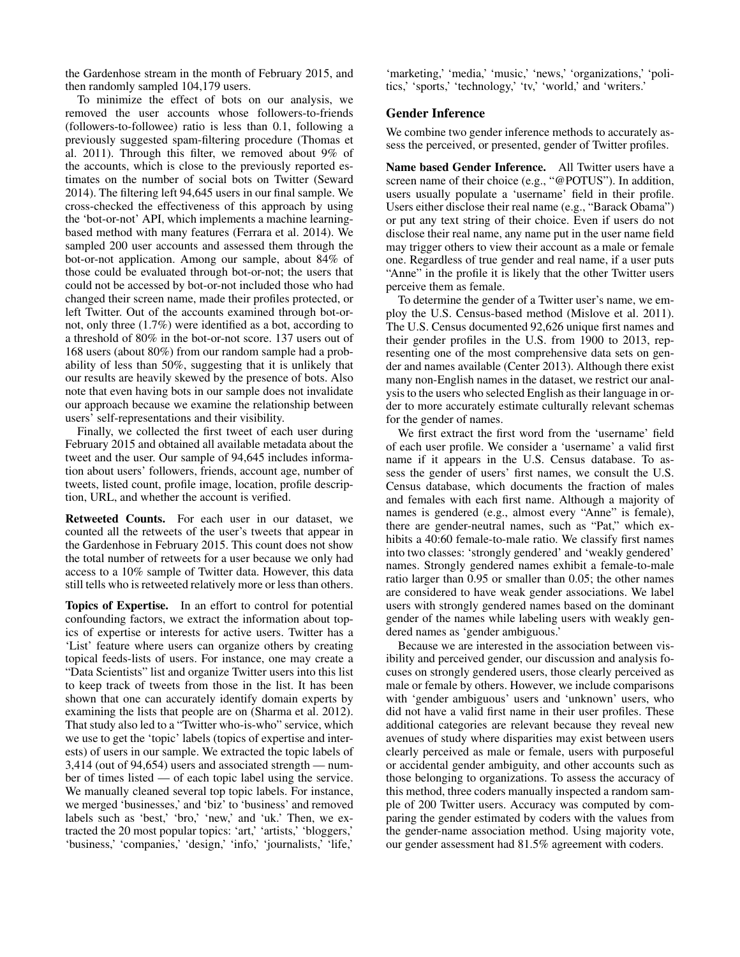the Gardenhose stream in the month of February 2015, and then randomly sampled 104,179 users.

To minimize the effect of bots on our analysis, we removed the user accounts whose followers-to-friends (followers-to-followee) ratio is less than 0.1, following a previously suggested spam-filtering procedure (Thomas et al. 2011). Through this filter, we removed about 9% of the accounts, which is close to the previously reported estimates on the number of social bots on Twitter (Seward 2014). The filtering left 94,645 users in our final sample. We cross-checked the effectiveness of this approach by using the 'bot-or-not' API, which implements a machine learningbased method with many features (Ferrara et al. 2014). We sampled 200 user accounts and assessed them through the bot-or-not application. Among our sample, about 84% of those could be evaluated through bot-or-not; the users that could not be accessed by bot-or-not included those who had changed their screen name, made their profiles protected, or left Twitter. Out of the accounts examined through bot-ornot, only three (1.7%) were identified as a bot, according to a threshold of 80% in the bot-or-not score. 137 users out of 168 users (about 80%) from our random sample had a probability of less than 50%, suggesting that it is unlikely that our results are heavily skewed by the presence of bots. Also note that even having bots in our sample does not invalidate our approach because we examine the relationship between users' self-representations and their visibility.

Finally, we collected the first tweet of each user during February 2015 and obtained all available metadata about the tweet and the user. Our sample of 94,645 includes information about users' followers, friends, account age, number of tweets, listed count, profile image, location, profile description, URL, and whether the account is verified.

Retweeted Counts. For each user in our dataset, we counted all the retweets of the user's tweets that appear in the Gardenhose in February 2015. This count does not show the total number of retweets for a user because we only had access to a 10% sample of Twitter data. However, this data still tells who is retweeted relatively more or less than others.

Topics of Expertise. In an effort to control for potential confounding factors, we extract the information about topics of expertise or interests for active users. Twitter has a 'List' feature where users can organize others by creating topical feeds-lists of users. For instance, one may create a "Data Scientists" list and organize Twitter users into this list to keep track of tweets from those in the list. It has been shown that one can accurately identify domain experts by examining the lists that people are on (Sharma et al. 2012). That study also led to a "Twitter who-is-who" service, which we use to get the 'topic' labels (topics of expertise and interests) of users in our sample. We extracted the topic labels of 3,414 (out of 94,654) users and associated strength — number of times listed — of each topic label using the service. We manually cleaned several top topic labels. For instance, we merged 'businesses,' and 'biz' to 'business' and removed labels such as 'best,' 'bro,' 'new,' and 'uk.' Then, we extracted the 20 most popular topics: 'art,' 'artists,' 'bloggers,' 'business,' 'companies,' 'design,' 'info,' 'journalists,' 'life,'

'marketing,' 'media,' 'music,' 'news,' 'organizations,' 'politics,' 'sports,' 'technology,' 'tv,' 'world,' and 'writers.'

## Gender Inference

We combine two gender inference methods to accurately assess the perceived, or presented, gender of Twitter profiles.

Name based Gender Inference. All Twitter users have a screen name of their choice (e.g., "@POTUS"). In addition, users usually populate a 'username' field in their profile. Users either disclose their real name (e.g., "Barack Obama") or put any text string of their choice. Even if users do not disclose their real name, any name put in the user name field may trigger others to view their account as a male or female one. Regardless of true gender and real name, if a user puts "Anne" in the profile it is likely that the other Twitter users perceive them as female.

To determine the gender of a Twitter user's name, we employ the U.S. Census-based method (Mislove et al. 2011). The U.S. Census documented 92,626 unique first names and their gender profiles in the U.S. from 1900 to 2013, representing one of the most comprehensive data sets on gender and names available (Center 2013). Although there exist many non-English names in the dataset, we restrict our analysis to the users who selected English as their language in order to more accurately estimate culturally relevant schemas for the gender of names.

We first extract the first word from the 'username' field of each user profile. We consider a 'username' a valid first name if it appears in the U.S. Census database. To assess the gender of users' first names, we consult the U.S. Census database, which documents the fraction of males and females with each first name. Although a majority of names is gendered (e.g., almost every "Anne" is female), there are gender-neutral names, such as "Pat," which exhibits a 40:60 female-to-male ratio. We classify first names into two classes: 'strongly gendered' and 'weakly gendered' names. Strongly gendered names exhibit a female-to-male ratio larger than 0.95 or smaller than 0.05; the other names are considered to have weak gender associations. We label users with strongly gendered names based on the dominant gender of the names while labeling users with weakly gendered names as 'gender ambiguous.'

Because we are interested in the association between visibility and perceived gender, our discussion and analysis focuses on strongly gendered users, those clearly perceived as male or female by others. However, we include comparisons with 'gender ambiguous' users and 'unknown' users, who did not have a valid first name in their user profiles. These additional categories are relevant because they reveal new avenues of study where disparities may exist between users clearly perceived as male or female, users with purposeful or accidental gender ambiguity, and other accounts such as those belonging to organizations. To assess the accuracy of this method, three coders manually inspected a random sample of 200 Twitter users. Accuracy was computed by comparing the gender estimated by coders with the values from the gender-name association method. Using majority vote, our gender assessment had 81.5% agreement with coders.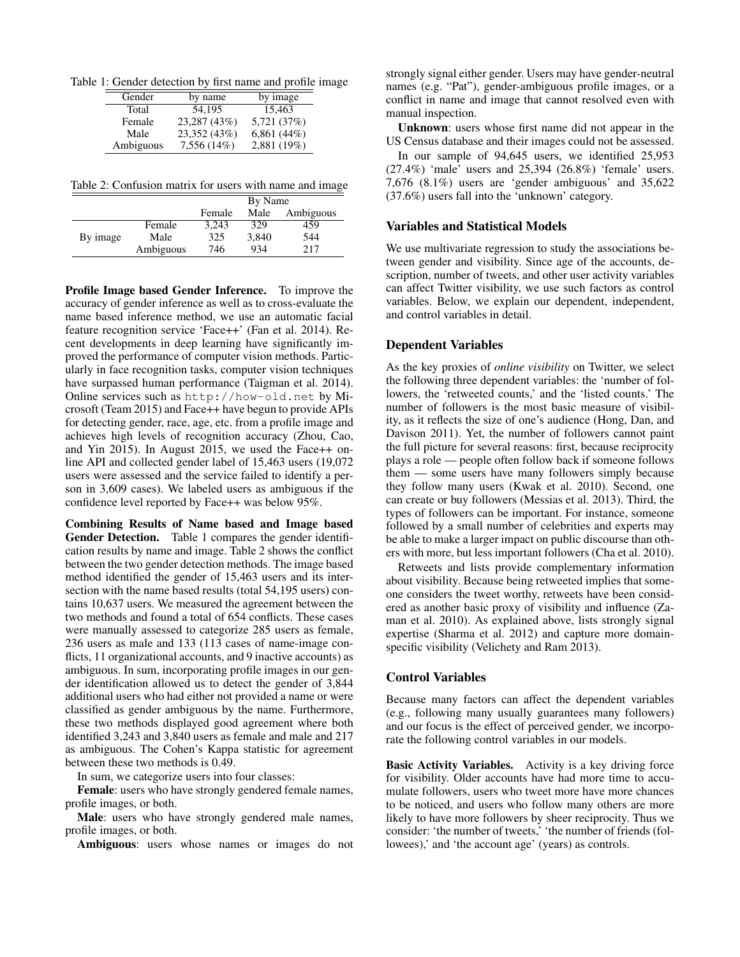Table 1: Gender detection by first name and profile image

| Gender    | by name      |               |
|-----------|--------------|---------------|
| Total     | 54.195       | 15.463        |
| Female    | 23,287 (43%) | 5,721 (37%)   |
| Male      | 23,352 (43%) | 6,861 $(44%)$ |
| Ambiguous | 7,556 (14%)  | 2,881 (19%)   |

Table 2: Confusion matrix for users with name and image

|          |           | By Name |       |           |
|----------|-----------|---------|-------|-----------|
|          |           | Female  | Male  | Ambiguous |
|          | Female    | 3.243   | 329   | 459       |
| By image | Male      | 325     | 3.840 | 544       |
|          | Ambiguous | 746     | 934   | 217       |

Profile Image based Gender Inference. To improve the accuracy of gender inference as well as to cross-evaluate the name based inference method, we use an automatic facial feature recognition service 'Face++' (Fan et al. 2014). Recent developments in deep learning have significantly improved the performance of computer vision methods. Particularly in face recognition tasks, computer vision techniques have surpassed human performance (Taigman et al. 2014). Online services such as http://how-old.net by Microsoft (Team 2015) and Face++ have begun to provide APIs for detecting gender, race, age, etc. from a profile image and achieves high levels of recognition accuracy (Zhou, Cao, and Yin 2015). In August 2015, we used the Face++ online API and collected gender label of 15,463 users (19,072 users were assessed and the service failed to identify a person in 3,609 cases). We labeled users as ambiguous if the confidence level reported by Face++ was below 95%.

Combining Results of Name based and Image based Gender Detection. Table 1 compares the gender identification results by name and image. Table 2 shows the conflict between the two gender detection methods. The image based method identified the gender of 15,463 users and its intersection with the name based results (total 54,195 users) contains 10,637 users. We measured the agreement between the two methods and found a total of 654 conflicts. These cases were manually assessed to categorize 285 users as female, 236 users as male and 133 (113 cases of name-image conflicts, 11 organizational accounts, and 9 inactive accounts) as ambiguous. In sum, incorporating profile images in our gender identification allowed us to detect the gender of 3,844 additional users who had either not provided a name or were classified as gender ambiguous by the name. Furthermore, these two methods displayed good agreement where both identified 3,243 and 3,840 users as female and male and 217 as ambiguous. The Cohen's Kappa statistic for agreement between these two methods is 0.49.

In sum, we categorize users into four classes:

Female: users who have strongly gendered female names, profile images, or both.

Male: users who have strongly gendered male names, profile images, or both.

Ambiguous: users whose names or images do not

strongly signal either gender. Users may have gender-neutral names (e.g. "Pat"), gender-ambiguous profile images, or a conflict in name and image that cannot resolved even with manual inspection.

Unknown: users whose first name did not appear in the US Census database and their images could not be assessed.

In our sample of 94,645 users, we identified 25,953 (27.4%) 'male' users and 25,394 (26.8%) 'female' users. 7,676 (8.1%) users are 'gender ambiguous' and 35,622 (37.6%) users fall into the 'unknown' category.

# Variables and Statistical Models

We use multivariate regression to study the associations between gender and visibility. Since age of the accounts, description, number of tweets, and other user activity variables can affect Twitter visibility, we use such factors as control variables. Below, we explain our dependent, independent, and control variables in detail.

## Dependent Variables

As the key proxies of *online visibility* on Twitter, we select the following three dependent variables: the 'number of followers, the 'retweeted counts,' and the 'listed counts.' The number of followers is the most basic measure of visibility, as it reflects the size of one's audience (Hong, Dan, and Davison 2011). Yet, the number of followers cannot paint the full picture for several reasons: first, because reciprocity plays a role — people often follow back if someone follows them — some users have many followers simply because they follow many users (Kwak et al. 2010). Second, one can create or buy followers (Messias et al. 2013). Third, the types of followers can be important. For instance, someone followed by a small number of celebrities and experts may be able to make a larger impact on public discourse than others with more, but less important followers (Cha et al. 2010).

Retweets and lists provide complementary information about visibility. Because being retweeted implies that someone considers the tweet worthy, retweets have been considered as another basic proxy of visibility and influence (Zaman et al. 2010). As explained above, lists strongly signal expertise (Sharma et al. 2012) and capture more domainspecific visibility (Velichety and Ram 2013).

# Control Variables

Because many factors can affect the dependent variables (e.g., following many usually guarantees many followers) and our focus is the effect of perceived gender, we incorporate the following control variables in our models.

Basic Activity Variables. Activity is a key driving force for visibility. Older accounts have had more time to accumulate followers, users who tweet more have more chances to be noticed, and users who follow many others are more likely to have more followers by sheer reciprocity. Thus we consider: 'the number of tweets,' 'the number of friends (followees),' and 'the account age' (years) as controls.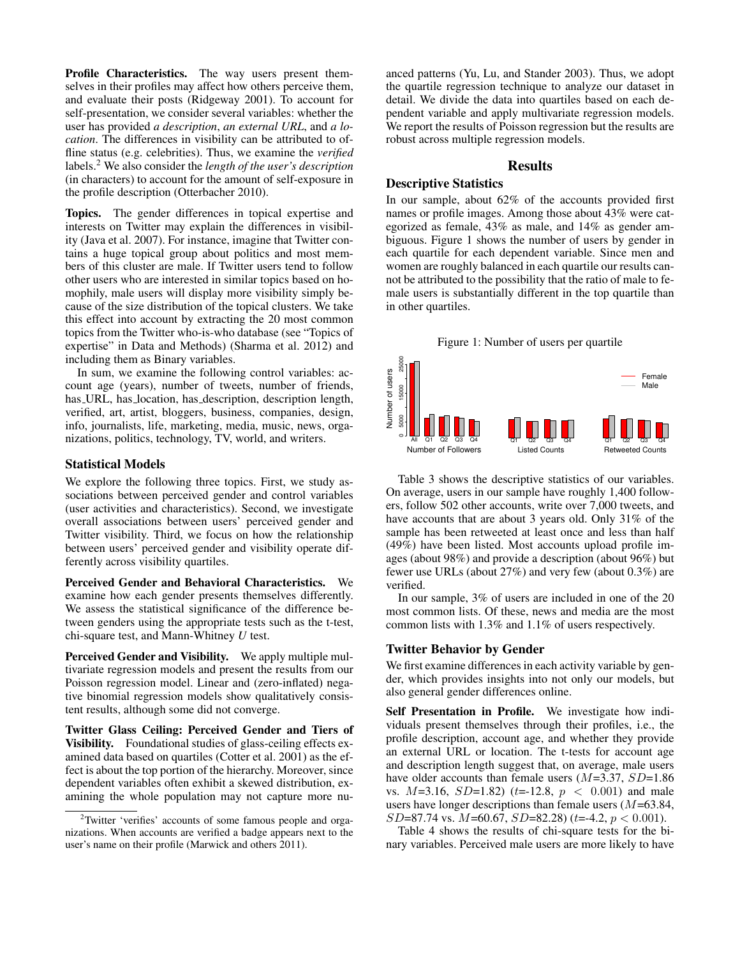Profile Characteristics. The way users present themselves in their profiles may affect how others perceive them, and evaluate their posts (Ridgeway 2001). To account for self-presentation, we consider several variables: whether the user has provided *a description*, *an external URL*, and *a location*. The differences in visibility can be attributed to offline status (e.g. celebrities). Thus, we examine the *verified* labels.<sup>2</sup> We also consider the *length of the user's description* (in characters) to account for the amount of self-exposure in the profile description (Otterbacher 2010).

Topics. The gender differences in topical expertise and interests on Twitter may explain the differences in visibility (Java et al. 2007). For instance, imagine that Twitter contains a huge topical group about politics and most members of this cluster are male. If Twitter users tend to follow other users who are interested in similar topics based on homophily, male users will display more visibility simply because of the size distribution of the topical clusters. We take this effect into account by extracting the 20 most common topics from the Twitter who-is-who database (see "Topics of expertise" in Data and Methods) (Sharma et al. 2012) and including them as Binary variables.

In sum, we examine the following control variables: account age (years), number of tweets, number of friends, has URL, has location, has description, description length, verified, art, artist, bloggers, business, companies, design, info, journalists, life, marketing, media, music, news, organizations, politics, technology, TV, world, and writers.

#### Statistical Models

We explore the following three topics. First, we study associations between perceived gender and control variables (user activities and characteristics). Second, we investigate overall associations between users' perceived gender and Twitter visibility. Third, we focus on how the relationship between users' perceived gender and visibility operate differently across visibility quartiles.

Perceived Gender and Behavioral Characteristics. We examine how each gender presents themselves differently. We assess the statistical significance of the difference between genders using the appropriate tests such as the t-test, chi-square test, and Mann-Whitney *U* test.

Perceived Gender and Visibility. We apply multiple multivariate regression models and present the results from our Poisson regression model. Linear and (zero-inflated) negative binomial regression models show qualitatively consistent results, although some did not converge.

Twitter Glass Ceiling: Perceived Gender and Tiers of Visibility. Foundational studies of glass-ceiling effects examined data based on quartiles (Cotter et al. 2001) as the effect is about the top portion of the hierarchy. Moreover, since dependent variables often exhibit a skewed distribution, examining the whole population may not capture more nu-

anced patterns (Yu, Lu, and Stander 2003). Thus, we adopt the quartile regression technique to analyze our dataset in detail. We divide the data into quartiles based on each dependent variable and apply multivariate regression models. We report the results of Poisson regression but the results are robust across multiple regression models.

# Results

## Descriptive Statistics

In our sample, about 62% of the accounts provided first names or profile images. Among those about 43% were categorized as female, 43% as male, and 14% as gender ambiguous. Figure 1 shows the number of users by gender in each quartile for each dependent variable. Since men and women are roughly balanced in each quartile our results cannot be attributed to the possibility that the ratio of male to female users is substantially different in the top quartile than in other quartiles.

# Figure 1: Number of users per quartile



Table 3 shows the descriptive statistics of our variables. On average, users in our sample have roughly 1,400 followers, follow 502 other accounts, write over 7,000 tweets, and have accounts that are about 3 years old. Only 31% of the sample has been retweeted at least once and less than half (49%) have been listed. Most accounts upload profile images (about 98%) and provide a description (about 96%) but fewer use URLs (about 27%) and very few (about 0.3%) are verified.

In our sample, 3% of users are included in one of the 20 most common lists. Of these, news and media are the most common lists with 1.3% and 1.1% of users respectively.

#### Twitter Behavior by Gender

We first examine differences in each activity variable by gender, which provides insights into not only our models, but also general gender differences online.

Self Presentation in Profile. We investigate how individuals present themselves through their profiles, i.e., the profile description, account age, and whether they provide an external URL or location. The t-tests for account age and description length suggest that, on average, male users have older accounts than female users  $(M=3.37, SD=1.86$ vs.  $M=3.16$ ,  $SD=1.82$ ) (t=-12.8,  $p < 0.001$ ) and male users have longer descriptions than female users  $(M=63.84,$  $SD=87.74$  vs.  $M=60.67$ ,  $SD=82.28$ ) (t=-4.2,  $p < 0.001$ ).

Table 4 shows the results of chi-square tests for the binary variables. Perceived male users are more likely to have

<sup>&</sup>lt;sup>2</sup>Twitter 'verifies' accounts of some famous people and organizations. When accounts are verified a badge appears next to the user's name on their profile (Marwick and others 2011).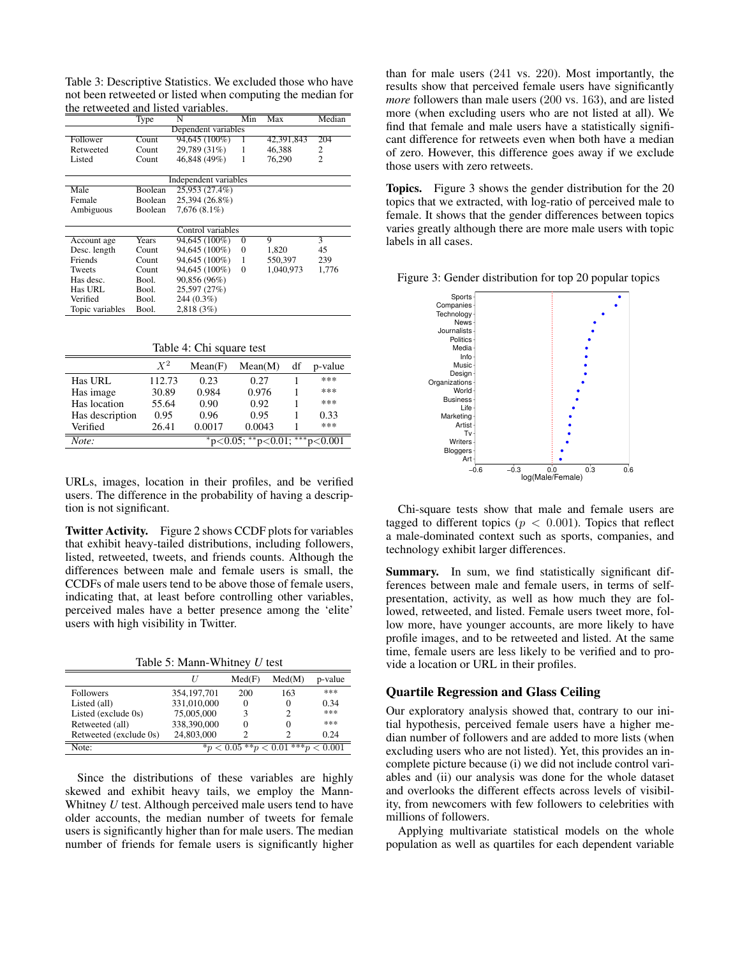Table 3: Descriptive Statistics. We excluded those who have not been retweeted or listed when computing the median for the retweeted and listed variables.

|                     | Type    | N                     | Min      | Max        | Median         |  |  |
|---------------------|---------|-----------------------|----------|------------|----------------|--|--|
| Dependent variables |         |                       |          |            |                |  |  |
| Follower            | Count   | 94,645 (100%)         | 1        | 42,391,843 | 204            |  |  |
| Retweeted           | Count   | 29,789 (31%)          | 1        | 46.388     | 2              |  |  |
| Listed              | Count   | 46,848 (49%)          | 1        | 76,290     | $\overline{c}$ |  |  |
|                     |         |                       |          |            |                |  |  |
|                     |         | Independent variables |          |            |                |  |  |
| Male                | Boolean | 25,953 (27.4%)        |          |            |                |  |  |
| Female              | Boolean | 25,394 (26.8%)        |          |            |                |  |  |
| Ambiguous           | Boolean | $7,676(8.1\%)$        |          |            |                |  |  |
|                     |         |                       |          |            |                |  |  |
| Control variables   |         |                       |          |            |                |  |  |
| Account age         | Years   | 94,645 (100%)         | $\Omega$ | 9          | 3              |  |  |
| Desc. length        | Count   | 94,645 (100%)         | $\Omega$ | 1,820      | 45             |  |  |
| Friends             | Count   | 94,645 (100%)         | 1        | 550,397    | 239            |  |  |
| Tweets              | Count   | 94,645 (100%)         | $\theta$ | 1.040.973  | 1,776          |  |  |
| Has desc.           | Bool.   | 90,856 (96%)          |          |            |                |  |  |
| Has URL             | Bool.   | 25,597 (27%)          |          |            |                |  |  |
| Verified            | Bool.   | $244(0.3\%)$          |          |            |                |  |  |
| Topic variables     | Bool.   | 2.818(3%)             |          |            |                |  |  |

Table 4: Chi square test

|                                                        | $X^2$  | Mean(F) | Mean(M) | df | p-value |
|--------------------------------------------------------|--------|---------|---------|----|---------|
| <b>Has URL</b>                                         | 112.73 | 0.23    | 0.27    |    | ***     |
| Has image                                              | 30.89  | 0.984   | 0.976   |    | ***     |
| Has location                                           | 55.64  | 0.90    | 0.92    |    | ***     |
| Has description                                        | 0.95   | 0.96    | 0.95    |    | 0.33    |
| Verified                                               | 26.41  | 0.0017  | 0.0043  |    | ***     |
| $**p<0.001$<br>**<br>Note:<br>$p<0.01$ ;<br>$p<0.05$ : |        |         |         |    |         |

URLs, images, location in their profiles, and be verified users. The difference in the probability of having a description is not significant.

Twitter Activity. Figure 2 shows CCDF plots for variables that exhibit heavy-tailed distributions, including followers, listed, retweeted, tweets, and friends counts. Although the differences between male and female users is small, the CCDFs of male users tend to be above those of female users, indicating that, at least before controlling other variables, perceived males have a better presence among the 'elite' users with high visibility in Twitter.

Table 5: Mann-Whitney *U* test

|                        |               | Med(F) | Med(M)                               | p-value |
|------------------------|---------------|--------|--------------------------------------|---------|
| <b>Followers</b>       | 354, 197, 701 | 200    | 163                                  | ***     |
| Listed (all)           | 331,010,000   |        | 0                                    | 0.34    |
| Listed (exclude 0s)    | 75,005,000    |        | 2                                    | ***     |
| Retweeted (all)        | 338,390,000   |        | 0                                    | ***     |
| Retweeted (exclude 0s) | 24,803,000    |        | 2                                    | 0.24    |
| Note:                  |               |        | $*_p$ < 0.05 **p < 0.01 ***p < 0.001 |         |

Since the distributions of these variables are highly skewed and exhibit heavy tails, we employ the Mann-Whitney *U* test. Although perceived male users tend to have older accounts, the median number of tweets for female users is significantly higher than for male users. The median number of friends for female users is significantly higher than for male users (241 vs. 220). Most importantly, the results show that perceived female users have significantly *more* followers than male users (200 vs. 163), and are listed more (when excluding users who are not listed at all). We find that female and male users have a statistically significant difference for retweets even when both have a median of zero. However, this difference goes away if we exclude those users with zero retweets.

Topics. Figure 3 shows the gender distribution for the 20 topics that we extracted, with log-ratio of perceived male to female. It shows that the gender differences between topics varies greatly although there are more male users with topic labels in all cases.

Figure 3: Gender distribution for top 20 popular topics



Chi-square tests show that male and female users are tagged to different topics ( $p < 0.001$ ). Topics that reflect a male-dominated context such as sports, companies, and technology exhibit larger differences.

Summary. In sum, we find statistically significant differences between male and female users, in terms of selfpresentation, activity, as well as how much they are followed, retweeted, and listed. Female users tweet more, follow more, have younger accounts, are more likely to have profile images, and to be retweeted and listed. At the same time, female users are less likely to be verified and to provide a location or URL in their profiles.

#### Quartile Regression and Glass Ceiling

Our exploratory analysis showed that, contrary to our initial hypothesis, perceived female users have a higher median number of followers and are added to more lists (when excluding users who are not listed). Yet, this provides an incomplete picture because (i) we did not include control variables and (ii) our analysis was done for the whole dataset and overlooks the different effects across levels of visibility, from newcomers with few followers to celebrities with millions of followers.

Applying multivariate statistical models on the whole population as well as quartiles for each dependent variable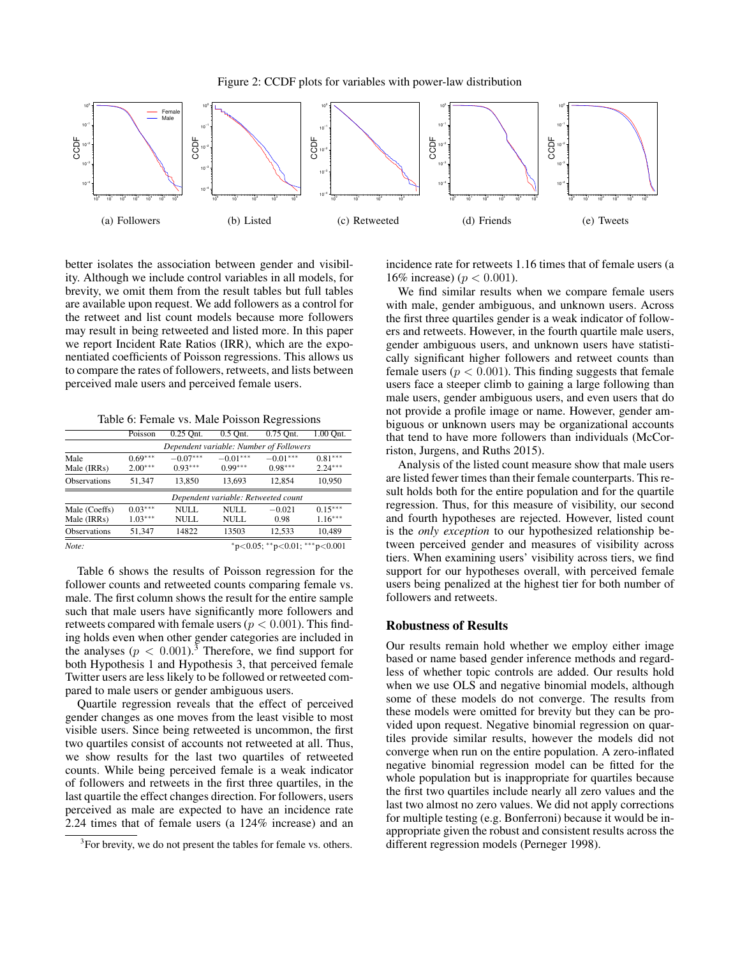Figure 2: CCDF plots for variables with power-law distribution



better isolates the association between gender and visibility. Although we include control variables in all models, for brevity, we omit them from the result tables but full tables are available upon request. We add followers as a control for the retweet and list count models because more followers may result in being retweeted and listed more. In this paper we report Incident Rate Ratios (IRR), which are the exponentiated coefficients of Poisson regressions. This allows us to compare the rates of followers, retweets, and lists between perceived male users and perceived female users.

Table 6: Female vs. Male Poisson Regressions

|                              | Poisson                                 | 0.25 Ont.               | $0.5$ Ont.              | 0.75 Ont.               | 1.00 Ont.              |  |
|------------------------------|-----------------------------------------|-------------------------|-------------------------|-------------------------|------------------------|--|
|                              | Dependent variable: Number of Followers |                         |                         |                         |                        |  |
| Male<br>Male (IRRs)          | $0.69***$<br>$2.00***$                  | $-0.07***$<br>$0.93***$ | $-0.01***$<br>$0.99***$ | $-0.01***$<br>$0.98***$ | $0.81***$<br>$2.24***$ |  |
| <b>Observations</b>          | 51.347                                  | 13.850                  | 13.693                  | 12.854                  | 10.950                 |  |
|                              | Dependent variable: Retweeted count     |                         |                         |                         |                        |  |
| Male (Coeffs)<br>Male (IRRs) | $0.03***$<br>$1.03***$                  | NULL.<br>NULL           | NULL.<br>NULL           | $-0.021$<br>0.98        | $0.15***$<br>$1.16***$ |  |
| <b>Observations</b>          | 51,347                                  | 14822                   | 13503                   | 12,533                  | 10,489                 |  |
| Note:                        | *p<0.05; **p<0.01; ***p<0.001           |                         |                         |                         |                        |  |

Table 6 shows the results of Poisson regression for the follower counts and retweeted counts comparing female vs. male. The first column shows the result for the entire sample such that male users have significantly more followers and retweets compared with female users ( $p < 0.001$ ). This finding holds even when other gender categories are included in the analyses  $(p < 0.001)$ .<sup>3</sup> Therefore, we find support for both Hypothesis 1 and Hypothesis 3, that perceived female Twitter users are less likely to be followed or retweeted compared to male users or gender ambiguous users.

Quartile regression reveals that the effect of perceived gender changes as one moves from the least visible to most visible users. Since being retweeted is uncommon, the first two quartiles consist of accounts not retweeted at all. Thus, we show results for the last two quartiles of retweeted counts. While being perceived female is a weak indicator of followers and retweets in the first three quartiles, in the last quartile the effect changes direction. For followers, users perceived as male are expected to have an incidence rate 2.24 times that of female users (a 124% increase) and an incidence rate for retweets 1.16 times that of female users (a 16% increase) ( $p < 0.001$ ).

We find similar results when we compare female users with male, gender ambiguous, and unknown users. Across the first three quartiles gender is a weak indicator of followers and retweets. However, in the fourth quartile male users, gender ambiguous users, and unknown users have statistically significant higher followers and retweet counts than female users ( $p < 0.001$ ). This finding suggests that female users face a steeper climb to gaining a large following than male users, gender ambiguous users, and even users that do not provide a profile image or name. However, gender ambiguous or unknown users may be organizational accounts that tend to have more followers than individuals (McCorriston, Jurgens, and Ruths 2015).

Analysis of the listed count measure show that male users are listed fewer times than their female counterparts. This result holds both for the entire population and for the quartile regression. Thus, for this measure of visibility, our second and fourth hypotheses are rejected. However, listed count is the *only exception* to our hypothesized relationship between perceived gender and measures of visibility across tiers. When examining users' visibility across tiers, we find support for our hypotheses overall, with perceived female users being penalized at the highest tier for both number of followers and retweets.

## Robustness of Results

Our results remain hold whether we employ either image based or name based gender inference methods and regardless of whether topic controls are added. Our results hold when we use OLS and negative binomial models, although some of these models do not converge. The results from these models were omitted for brevity but they can be provided upon request. Negative binomial regression on quartiles provide similar results, however the models did not converge when run on the entire population. A zero-inflated negative binomial regression model can be fitted for the whole population but is inappropriate for quartiles because the first two quartiles include nearly all zero values and the last two almost no zero values. We did not apply corrections for multiple testing (e.g. Bonferroni) because it would be inappropriate given the robust and consistent results across the different regression models (Perneger 1998).

<sup>&</sup>lt;sup>3</sup>For brevity, we do not present the tables for female vs. others.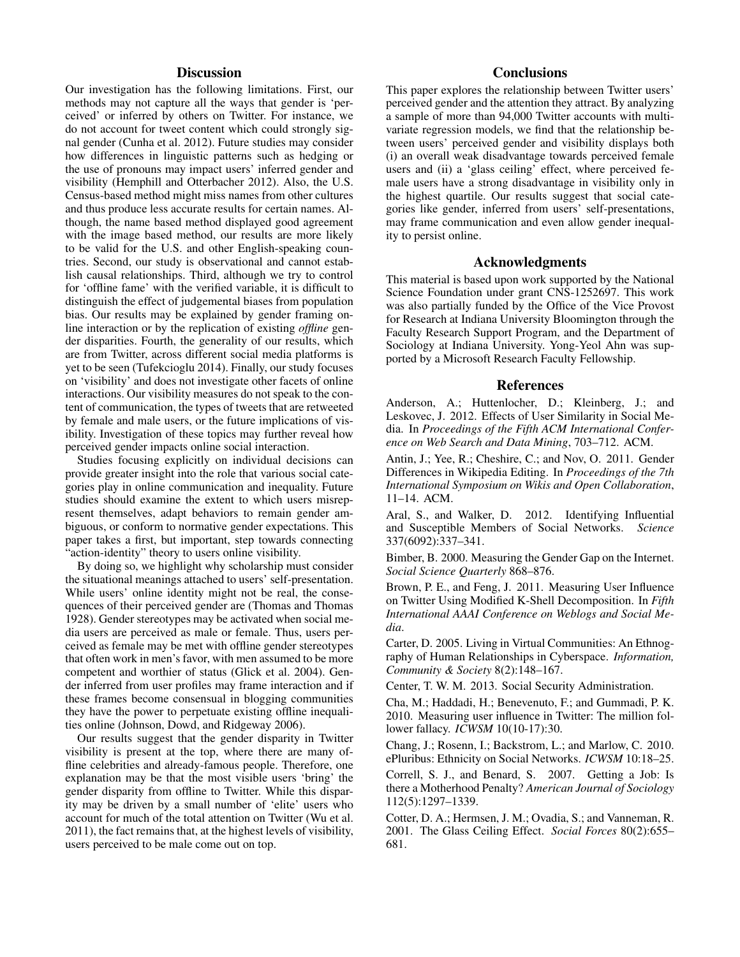# **Discussion**

Our investigation has the following limitations. First, our methods may not capture all the ways that gender is 'perceived' or inferred by others on Twitter. For instance, we do not account for tweet content which could strongly signal gender (Cunha et al. 2012). Future studies may consider how differences in linguistic patterns such as hedging or the use of pronouns may impact users' inferred gender and visibility (Hemphill and Otterbacher 2012). Also, the U.S. Census-based method might miss names from other cultures and thus produce less accurate results for certain names. Although, the name based method displayed good agreement with the image based method, our results are more likely to be valid for the U.S. and other English-speaking countries. Second, our study is observational and cannot establish causal relationships. Third, although we try to control for 'offline fame' with the verified variable, it is difficult to distinguish the effect of judgemental biases from population bias. Our results may be explained by gender framing online interaction or by the replication of existing *offline* gender disparities. Fourth, the generality of our results, which are from Twitter, across different social media platforms is yet to be seen (Tufekcioglu 2014). Finally, our study focuses on 'visibility' and does not investigate other facets of online interactions. Our visibility measures do not speak to the content of communication, the types of tweets that are retweeted by female and male users, or the future implications of visibility. Investigation of these topics may further reveal how perceived gender impacts online social interaction.

Studies focusing explicitly on individual decisions can provide greater insight into the role that various social categories play in online communication and inequality. Future studies should examine the extent to which users misrepresent themselves, adapt behaviors to remain gender ambiguous, or conform to normative gender expectations. This paper takes a first, but important, step towards connecting "action-identity" theory to users online visibility.

By doing so, we highlight why scholarship must consider the situational meanings attached to users' self-presentation. While users' online identity might not be real, the consequences of their perceived gender are (Thomas and Thomas 1928). Gender stereotypes may be activated when social media users are perceived as male or female. Thus, users perceived as female may be met with offline gender stereotypes that often work in men's favor, with men assumed to be more competent and worthier of status (Glick et al. 2004). Gender inferred from user profiles may frame interaction and if these frames become consensual in blogging communities they have the power to perpetuate existing offline inequalities online (Johnson, Dowd, and Ridgeway 2006).

Our results suggest that the gender disparity in Twitter visibility is present at the top, where there are many offline celebrities and already-famous people. Therefore, one explanation may be that the most visible users 'bring' the gender disparity from offline to Twitter. While this disparity may be driven by a small number of 'elite' users who account for much of the total attention on Twitter (Wu et al. 2011), the fact remains that, at the highest levels of visibility, users perceived to be male come out on top.

# **Conclusions**

This paper explores the relationship between Twitter users' perceived gender and the attention they attract. By analyzing a sample of more than 94,000 Twitter accounts with multivariate regression models, we find that the relationship between users' perceived gender and visibility displays both (i) an overall weak disadvantage towards perceived female users and (ii) a 'glass ceiling' effect, where perceived female users have a strong disadvantage in visibility only in the highest quartile. Our results suggest that social categories like gender, inferred from users' self-presentations, may frame communication and even allow gender inequality to persist online.

## Acknowledgments

This material is based upon work supported by the National Science Foundation under grant CNS-1252697. This work was also partially funded by the Office of the Vice Provost for Research at Indiana University Bloomington through the Faculty Research Support Program, and the Department of Sociology at Indiana University. Yong-Yeol Ahn was supported by a Microsoft Research Faculty Fellowship.

#### References

Anderson, A.; Huttenlocher, D.; Kleinberg, J.; and Leskovec, J. 2012. Effects of User Similarity in Social Media. In *Proceedings of the Fifth ACM International Conference on Web Search and Data Mining*, 703–712. ACM.

Antin, J.; Yee, R.; Cheshire, C.; and Nov, O. 2011. Gender Differences in Wikipedia Editing. In *Proceedings of the 7th International Symposium on Wikis and Open Collaboration*, 11–14. ACM.

Aral, S., and Walker, D. 2012. Identifying Influential and Susceptible Members of Social Networks. *Science* 337(6092):337–341.

Bimber, B. 2000. Measuring the Gender Gap on the Internet. *Social Science Quarterly* 868–876.

Brown, P. E., and Feng, J. 2011. Measuring User Influence on Twitter Using Modified K-Shell Decomposition. In *Fifth International AAAI Conference on Weblogs and Social Media*.

Carter, D. 2005. Living in Virtual Communities: An Ethnography of Human Relationships in Cyberspace. *Information, Community & Society* 8(2):148–167.

Center, T. W. M. 2013. Social Security Administration.

Cha, M.; Haddadi, H.; Benevenuto, F.; and Gummadi, P. K. 2010. Measuring user influence in Twitter: The million follower fallacy. *ICWSM* 10(10-17):30.

Chang, J.; Rosenn, I.; Backstrom, L.; and Marlow, C. 2010. ePluribus: Ethnicity on Social Networks. *ICWSM* 10:18–25.

Correll, S. J., and Benard, S. 2007. Getting a Job: Is there a Motherhood Penalty? *American Journal of Sociology* 112(5):1297–1339.

Cotter, D. A.; Hermsen, J. M.; Ovadia, S.; and Vanneman, R. 2001. The Glass Ceiling Effect. *Social Forces* 80(2):655– 681.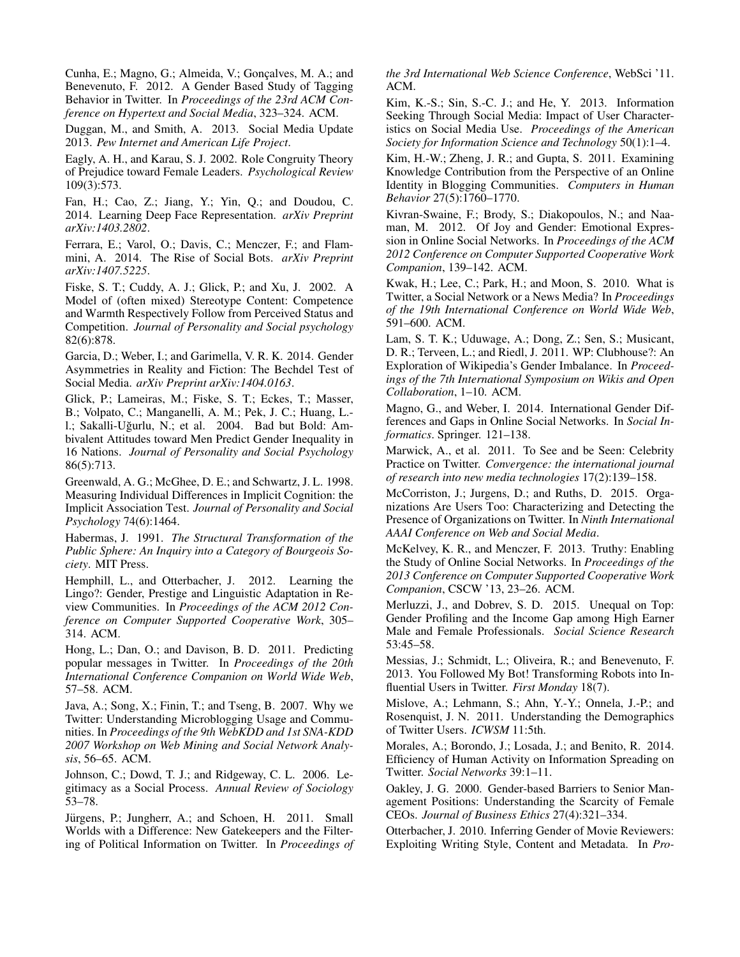Cunha, E.; Magno, G.; Almeida, V.; Goncalves, M. A.; and Benevenuto, F. 2012. A Gender Based Study of Tagging Behavior in Twitter. In *Proceedings of the 23rd ACM Conference on Hypertext and Social Media*, 323–324. ACM.

Duggan, M., and Smith, A. 2013. Social Media Update 2013. *Pew Internet and American Life Project*.

Eagly, A. H., and Karau, S. J. 2002. Role Congruity Theory of Prejudice toward Female Leaders. *Psychological Review* 109(3):573.

Fan, H.; Cao, Z.; Jiang, Y.; Yin, Q.; and Doudou, C. 2014. Learning Deep Face Representation. *arXiv Preprint arXiv:1403.2802*.

Ferrara, E.; Varol, O.; Davis, C.; Menczer, F.; and Flammini, A. 2014. The Rise of Social Bots. *arXiv Preprint arXiv:1407.5225*.

Fiske, S. T.; Cuddy, A. J.; Glick, P.; and Xu, J. 2002. A Model of (often mixed) Stereotype Content: Competence and Warmth Respectively Follow from Perceived Status and Competition. *Journal of Personality and Social psychology* 82(6):878.

Garcia, D.; Weber, I.; and Garimella, V. R. K. 2014. Gender Asymmetries in Reality and Fiction: The Bechdel Test of Social Media. *arXiv Preprint arXiv:1404.0163*.

Glick, P.; Lameiras, M.; Fiske, S. T.; Eckes, T.; Masser, B.; Volpato, C.; Manganelli, A. M.; Pek, J. C.; Huang, L. l.; Sakalli-Uğurlu, N.; et al. 2004. Bad but Bold: Ambivalent Attitudes toward Men Predict Gender Inequality in 16 Nations. *Journal of Personality and Social Psychology* 86(5):713.

Greenwald, A. G.; McGhee, D. E.; and Schwartz, J. L. 1998. Measuring Individual Differences in Implicit Cognition: the Implicit Association Test. *Journal of Personality and Social Psychology* 74(6):1464.

Habermas, J. 1991. *The Structural Transformation of the Public Sphere: An Inquiry into a Category of Bourgeois Society*. MIT Press.

Hemphill, L., and Otterbacher, J. 2012. Learning the Lingo?: Gender, Prestige and Linguistic Adaptation in Review Communities. In *Proceedings of the ACM 2012 Conference on Computer Supported Cooperative Work*, 305– 314. ACM.

Hong, L.; Dan, O.; and Davison, B. D. 2011. Predicting popular messages in Twitter. In *Proceedings of the 20th International Conference Companion on World Wide Web*, 57–58. ACM.

Java, A.; Song, X.; Finin, T.; and Tseng, B. 2007. Why we Twitter: Understanding Microblogging Usage and Communities. In *Proceedings of the 9th WebKDD and 1st SNA-KDD 2007 Workshop on Web Mining and Social Network Analysis*, 56–65. ACM.

Johnson, C.; Dowd, T. J.; and Ridgeway, C. L. 2006. Legitimacy as a Social Process. *Annual Review of Sociology* 53–78.

Jürgens, P.; Jungherr, A.; and Schoen, H. 2011. Small Worlds with a Difference: New Gatekeepers and the Filtering of Political Information on Twitter. In *Proceedings of* *the 3rd International Web Science Conference*, WebSci '11. ACM.

Kim, K.-S.; Sin, S.-C. J.; and He, Y. 2013. Information Seeking Through Social Media: Impact of User Characteristics on Social Media Use. *Proceedings of the American Society for Information Science and Technology* 50(1):1–4.

Kim, H.-W.; Zheng, J. R.; and Gupta, S. 2011. Examining Knowledge Contribution from the Perspective of an Online Identity in Blogging Communities. *Computers in Human Behavior* 27(5):1760–1770.

Kivran-Swaine, F.; Brody, S.; Diakopoulos, N.; and Naaman, M. 2012. Of Joy and Gender: Emotional Expression in Online Social Networks. In *Proceedings of the ACM 2012 Conference on Computer Supported Cooperative Work Companion*, 139–142. ACM.

Kwak, H.; Lee, C.; Park, H.; and Moon, S. 2010. What is Twitter, a Social Network or a News Media? In *Proceedings of the 19th International Conference on World Wide Web*, 591–600. ACM.

Lam, S. T. K.; Uduwage, A.; Dong, Z.; Sen, S.; Musicant, D. R.; Terveen, L.; and Riedl, J. 2011. WP: Clubhouse?: An Exploration of Wikipedia's Gender Imbalance. In *Proceedings of the 7th International Symposium on Wikis and Open Collaboration*, 1–10. ACM.

Magno, G., and Weber, I. 2014. International Gender Differences and Gaps in Online Social Networks. In *Social Informatics*. Springer. 121–138.

Marwick, A., et al. 2011. To See and be Seen: Celebrity Practice on Twitter. *Convergence: the international journal of research into new media technologies* 17(2):139–158.

McCorriston, J.; Jurgens, D.; and Ruths, D. 2015. Organizations Are Users Too: Characterizing and Detecting the Presence of Organizations on Twitter. In *Ninth International AAAI Conference on Web and Social Media*.

McKelvey, K. R., and Menczer, F. 2013. Truthy: Enabling the Study of Online Social Networks. In *Proceedings of the 2013 Conference on Computer Supported Cooperative Work Companion*, CSCW '13, 23–26. ACM.

Merluzzi, J., and Dobrev, S. D. 2015. Unequal on Top: Gender Profiling and the Income Gap among High Earner Male and Female Professionals. *Social Science Research* 53:45–58.

Messias, J.; Schmidt, L.; Oliveira, R.; and Benevenuto, F. 2013. You Followed My Bot! Transforming Robots into Influential Users in Twitter. *First Monday* 18(7).

Mislove, A.; Lehmann, S.; Ahn, Y.-Y.; Onnela, J.-P.; and Rosenquist, J. N. 2011. Understanding the Demographics of Twitter Users. *ICWSM* 11:5th.

Morales, A.; Borondo, J.; Losada, J.; and Benito, R. 2014. Efficiency of Human Activity on Information Spreading on Twitter. *Social Networks* 39:1–11.

Oakley, J. G. 2000. Gender-based Barriers to Senior Management Positions: Understanding the Scarcity of Female CEOs. *Journal of Business Ethics* 27(4):321–334.

Otterbacher, J. 2010. Inferring Gender of Movie Reviewers: Exploiting Writing Style, Content and Metadata. In *Pro-*